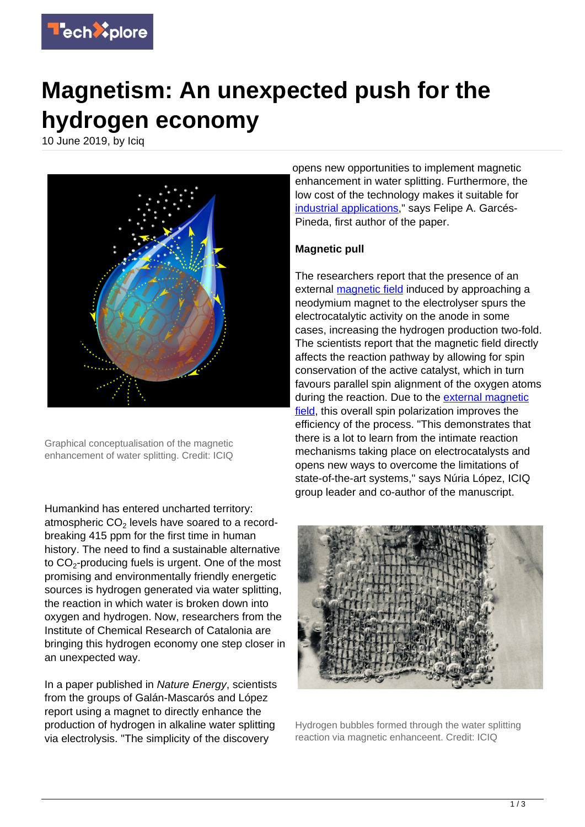

## **Magnetism: An unexpected push for the hydrogen economy**

10 June 2019, by Iciq



Graphical conceptualisation of the magnetic enhancement of water splitting. Credit: ICIQ

Humankind has entered uncharted territory: atmospheric CO<sub>2</sub> levels have soared to a recordbreaking 415 ppm for the first time in human history. The need to find a sustainable alternative to CO $_2$ -producing fuels is urgent. One of the most promising and environmentally friendly energetic sources is hydrogen generated via water splitting, the reaction in which water is broken down into oxygen and hydrogen. Now, researchers from the Institute of Chemical Research of Catalonia are bringing this hydrogen economy one step closer in an unexpected way.

In a paper published in Nature Energy, scientists from the groups of Galán-Mascarós and López report using a magnet to directly enhance the production of hydrogen in alkaline water splitting via electrolysis. "The simplicity of the discovery

opens new opportunities to implement magnetic enhancement in water splitting. Furthermore, the low cost of the technology makes it suitable for [industrial applications,](https://techxplore.com/tags/industrial+applications/)" says Felipe A. Garcés-Pineda, first author of the paper.

## **Magnetic pull**

The researchers report that the presence of an external **magnetic field** induced by approaching a neodymium magnet to the electrolyser spurs the electrocatalytic activity on the anode in some cases, increasing the hydrogen production two-fold. The scientists report that the magnetic field directly affects the reaction pathway by allowing for spin conservation of the active catalyst, which in turn favours parallel spin alignment of the oxygen atoms during the reaction. Due to the [external magnetic](https://techxplore.com/tags/external+magnetic+field/) [field,](https://techxplore.com/tags/external+magnetic+field/) this overall spin polarization improves the efficiency of the process. "This demonstrates that there is a lot to learn from the intimate reaction mechanisms taking place on electrocatalysts and opens new ways to overcome the limitations of state-of-the-art systems," says Núria López, ICIQ group leader and co-author of the manuscript.



Hydrogen bubbles formed through the water splitting reaction via magnetic enhanceent. Credit: ICIQ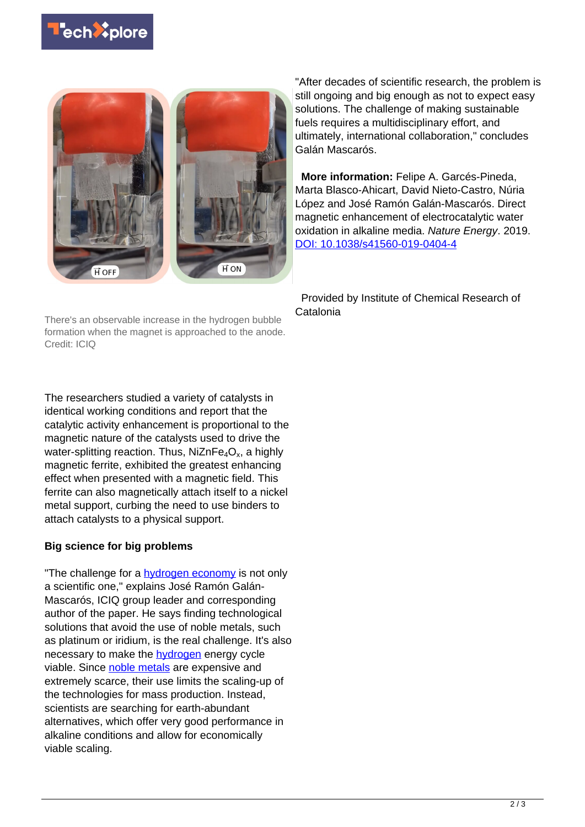



There's an observable increase in the hydrogen bubble formation when the magnet is approached to the anode. Credit: ICIQ

The researchers studied a variety of catalysts in identical working conditions and report that the catalytic activity enhancement is proportional to the magnetic nature of the catalysts used to drive the water-splitting reaction. Thus, NiZnFe $_4\rm O_x$ , a highly magnetic ferrite, exhibited the greatest enhancing effect when presented with a magnetic field. This ferrite can also magnetically attach itself to a nickel metal support, curbing the need to use binders to attach catalysts to a physical support.

## **Big science for big problems**

"The challenge for a **hydrogen economy** is not only a scientific one," explains José Ramón Galán-Mascarós, ICIQ group leader and corresponding author of the paper. He says finding technological solutions that avoid the use of noble metals, such as platinum or iridium, is the real challenge. It's also necessary to make the **hydrogen** energy cycle viable. Since [noble metals](https://techxplore.com/tags/noble+metals/) are expensive and extremely scarce, their use limits the scaling-up of the technologies for mass production. Instead, scientists are searching for earth-abundant alternatives, which offer very good performance in alkaline conditions and allow for economically viable scaling.

"After decades of scientific research, the problem is still ongoing and big enough as not to expect easy solutions. The challenge of making sustainable fuels requires a multidisciplinary effort, and ultimately, international collaboration," concludes Galán Mascarós.

 **More information:** Felipe A. Garcés-Pineda, Marta Blasco-Ahicart, David Nieto-Castro, Núria López and José Ramón Galán-Mascarós. Direct magnetic enhancement of electrocatalytic water oxidation in alkaline media. Nature Energy. 2019. [DOI: 10.1038/s41560-019-0404-4](http://dx.doi.org/10.1038/s41560-019-0404-4)

 Provided by Institute of Chemical Research of Catalonia